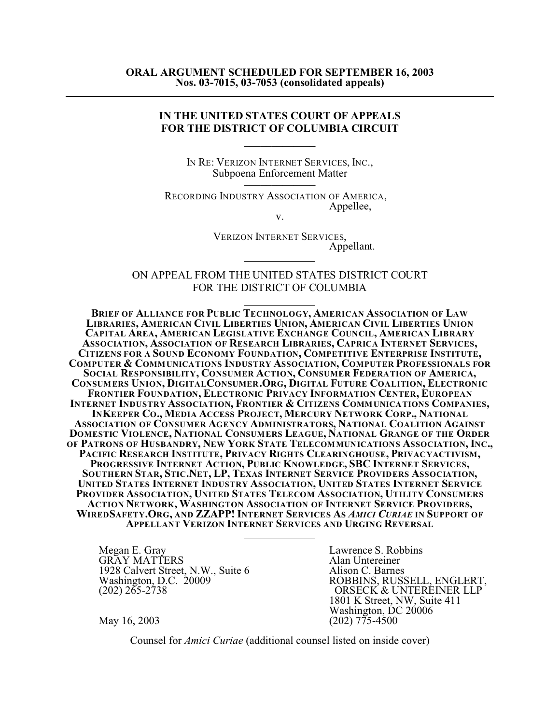## **IN THE UNITED STATES COURT OF APPEALS FOR THE DISTRICT OF COLUMBIA CIRCUIT**

 $\overline{\phantom{a}}$ 

IN RE: VERIZON INTERNET SERVICES, INC., Subpoena Enforcement Matter \_\_\_\_\_\_\_\_\_\_\_\_\_

RECORDING INDUSTRY ASSOCIATION OF AMERICA, Appellee,

v.

VERIZON INTERNET SERVICES, Appellant. 

ON APPEAL FROM THE UNITED STATES DISTRICT COURT FOR THE DISTRICT OF COLUMBIA

**BRIEF OF ALLIANCE FOR PUBLIC TECHNOLOGY, AMERICAN ASSOCIATION OF LAW LIBRARIES, AMERICAN CIVIL LIBERTIES UNION, AMERICAN CIVIL LIBERTIES UNION CAPITAL AREA, AMERICAN LEGISLATIVE EXCHANGE COUNCIL, AMERICAN LIBRARY ASSOCIATION, ASSOCIATION OF RESEARCH LIBRARIES, CAPRICA INTERNET SERVICES, CITIZENS FOR A SOUND ECONOMY FOUNDATION, COMPETITIVE ENTERPRISE INSTITUTE, COMPUTER & COMMUNICATIONS INDUSTRY ASSOCIATION, COMPUTER PROFESSIONALS FOR SOCIAL RESPONSIBILITY, CONSUMER ACTION, CONSUMER FEDERATION OF AMERICA, CONSUMERS UNION, DIGITALCONSUMER.ORG, DIGITAL FUTURE COALITION, ELECTRONIC FRONTIER FOUNDATION, ELECTRONIC PRIVACY INFORMATION CENTER, EUROPEAN INTERNET INDUSTRY ASSOCIATION, FRONTIER & CITIZENS COMMUNICATIONS COMPANIES, INKEEPER CO., MEDIA ACCESS PROJECT, MERCURY NETWORK CORP., NATIONAL ASSOCIATION OF CONSUMER AGENCY ADMINISTRATORS, NATIONAL COALITION AGAINST DOMESTIC VIOLENCE, NATIONAL CONSUMERS LEAGUE, NATIONAL GRANGE OF THE ORDER OF PATRONS OF HUSBANDRY, NEW YORK STATE TELECOMMUNICATIONS ASSOCIATION, INC., PACIFIC RESEARCH INSTITUTE, PRIVACY RIGHTS CLEARINGHOUSE, PRIVACYACTIVISM, PROGRESSIVE INTERNET ACTION, PUBLIC KNOWLEDGE, SBC INTERNET SERVICES,** SOUTHERN STAR, STIC.NET, LP, TEXAS INTERNET SERVICE PROVIDERS ASSOCIATION, **UNITED STATES INTERNET INDUSTRY ASSOCIATION, UNITED STATES INTERNET SERVICE PROVIDER ASSOCIATION, UNITED STATES TELECOM ASSOCIATION, UTILITY CONSUMERS ACTION NETWORK, WASHINGTON ASSOCIATION OF INTERNET SERVICE PROVIDERS,** WIREDSAFETY.ORG, AND ZZAPP! INTERNET SERVICES AS AMICI CURIAE IN SUPPORT OF **APPELLANT VERIZON INTERNET SERVICES AND URGING REVERSAL** 

Megan E. Gray Lawrence S. Robbins<br>
GRAY MATTERS Alan Untereiner GRAY MATTERS<br>1928 Calvert Street, N.W., Suite 6 Alison C. Barnes 1928 Calvert Street, N.W., Suite 6<br>Washington, D.C. 20009

Washington, D.C. 20009<br>
ROBBINS, RUSSELL, ENGLERT,<br>
ORSECK & UNTEREINER LLP ORSECK & UNTEREINER LLP 1801 K Street, NW, Suite 411 Washington, DC 20006 May 16, 2003 (202) 775-4500

Counsel for *Amici Curiae* (additional counsel listed on inside cover)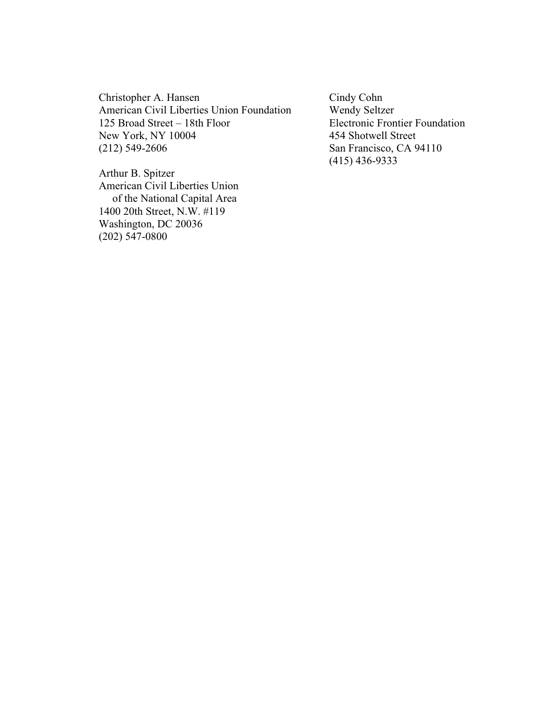Christopher A. Hansen Cindy Cohn American Civil Liberties Union Foundation Wendy Seltzer<br>125 Broad Street – 18th Floor Electronic Fron New York, NY 10004 454 Shotwell Street<br>
(212) 549-2606 San Francisco, CA 9

Electronic Frontier Foundation San Francisco, CA 94110 (415) 436-9333

Arthur B. Spitzer American Civil Liberties Union of the National Capital Area 1400 20th Street, N.W. #119 Washington, DC 20036 (202) 547-0800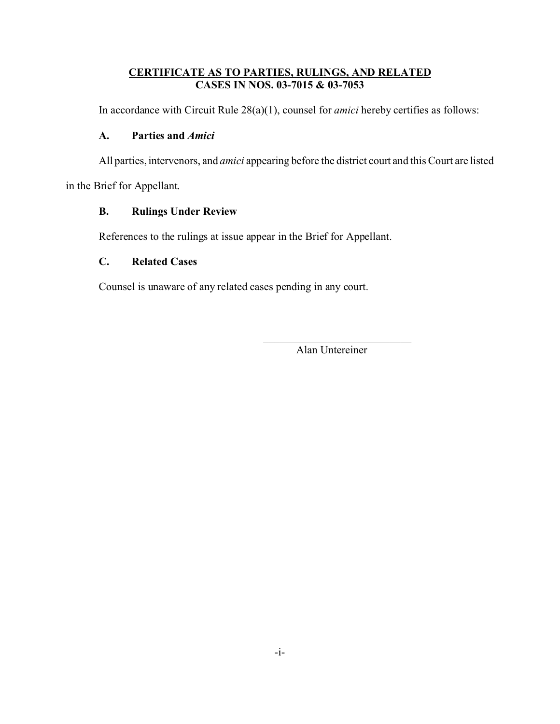## **CERTIFICATE AS TO PARTIES, RULINGS, AND RELATED CASES IN NOS. 03-7015 & 03-7053**

In accordance with Circuit Rule 28(a)(1), counsel for *amici* hereby certifies as follows:

## **A. Parties and** *Amici*

All parties, intervenors, and *amici* appearing before the district court and this Court are listed

in the Brief for Appellant.

## **B. Rulings Under Review**

References to the rulings at issue appear in the Brief for Appellant.

## **C. Related Cases**

Counsel is unaware of any related cases pending in any court.

\_\_\_\_\_\_\_\_\_\_\_\_\_\_\_\_\_\_\_\_\_\_\_\_\_\_\_ Alan Untereiner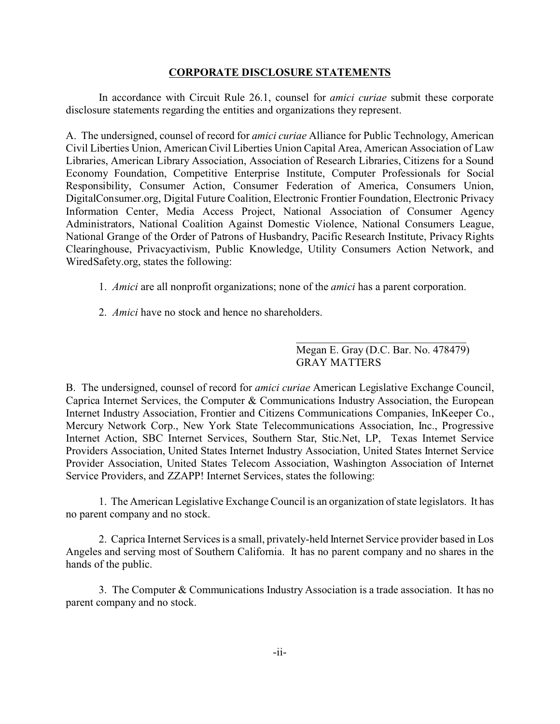## **CORPORATE DISCLOSURE STATEMENTS**

In accordance with Circuit Rule 26.1, counsel for *amici curiae* submit these corporate disclosure statements regarding the entities and organizations they represent.

A. The undersigned, counsel of record for *amici curiae* Alliance for Public Technology, American Civil Liberties Union, American Civil Liberties Union Capital Area, American Association of Law Libraries, American Library Association, Association of Research Libraries, Citizens for a Sound Economy Foundation, Competitive Enterprise Institute, Computer Professionals for Social Responsibility, Consumer Action, Consumer Federation of America, Consumers Union, DigitalConsumer.org, Digital Future Coalition, Electronic Frontier Foundation, Electronic Privacy Information Center, Media Access Project, National Association of Consumer Agency Administrators, National Coalition Against Domestic Violence, National Consumers League, National Grange of the Order of Patrons of Husbandry, Pacific Research Institute, Privacy Rights Clearinghouse, Privacyactivism, Public Knowledge, Utility Consumers Action Network, and WiredSafety.org, states the following:

- 1. *Amici* are all nonprofit organizations; none of the *amici* has a parent corporation.
- 2. *Amici* have no stock and hence no shareholders.

\_\_\_\_\_\_\_\_\_\_\_\_\_\_\_\_\_\_\_\_\_\_\_\_\_\_\_\_\_\_\_ Megan E. Gray (D.C. Bar. No. 478479) GRAY MATTERS

B. The undersigned, counsel of record for *amici curiae* American Legislative Exchange Council, Caprica Internet Services, the Computer & Communications Industry Association, the European Internet Industry Association, Frontier and Citizens Communications Companies, InKeeper Co., Mercury Network Corp., New York State Telecommunications Association, Inc., Progressive Internet Action, SBC Internet Services, Southern Star, Stic.Net, LP, Texas Internet Service Providers Association, United States Internet Industry Association, United States Internet Service Provider Association, United States Telecom Association, Washington Association of Internet Service Providers, and ZZAPP! Internet Services, states the following:

1. The American Legislative Exchange Council is an organization of state legislators. It has no parent company and no stock.

2. Caprica Internet Services is a small, privately-held Internet Service provider based in Los Angeles and serving most of Southern California. It has no parent company and no shares in the hands of the public.

3. The Computer & Communications Industry Association is a trade association. It has no parent company and no stock.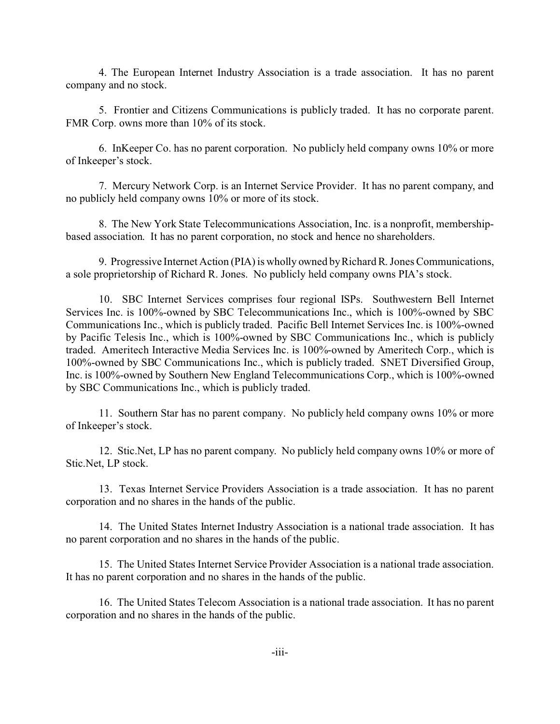4. The European Internet Industry Association is a trade association. It has no parent company and no stock.

5. Frontier and Citizens Communications is publicly traded. It has no corporate parent. FMR Corp. owns more than 10% of its stock.

6. InKeeper Co. has no parent corporation. No publicly held company owns 10% or more of Inkeeper's stock.

7. Mercury Network Corp. is an Internet Service Provider. It has no parent company, and no publicly held company owns 10% or more of its stock.

8. The New York State Telecommunications Association, Inc. is a nonprofit, membershipbased association. It has no parent corporation, no stock and hence no shareholders.

9. Progressive Internet Action (PIA) is wholly owned by Richard R. Jones Communications, a sole proprietorship of Richard R. Jones. No publicly held company owns PIA's stock.

10. SBC Internet Services comprises four regional ISPs. Southwestern Bell Internet Services Inc. is 100%-owned by SBC Telecommunications Inc., which is 100%-owned by SBC Communications Inc., which is publicly traded. Pacific Bell Internet Services Inc. is 100%-owned by Pacific Telesis Inc., which is 100%-owned by SBC Communications Inc., which is publicly traded. Ameritech Interactive Media Services Inc. is 100%-owned by Ameritech Corp., which is 100%-owned by SBC Communications Inc., which is publicly traded. SNET Diversified Group, Inc. is 100%-owned by Southern New England Telecommunications Corp., which is 100%-owned by SBC Communications Inc., which is publicly traded.

11. Southern Star has no parent company. No publicly held company owns 10% or more of Inkeeper's stock.

12. Stic.Net, LP has no parent company. No publicly held company owns 10% or more of Stic.Net, LP stock.

13. Texas Internet Service Providers Association is a trade association. It has no parent corporation and no shares in the hands of the public.

14. The United States Internet Industry Association is a national trade association. It has no parent corporation and no shares in the hands of the public.

15. The United States Internet Service Provider Association is a national trade association. It has no parent corporation and no shares in the hands of the public.

16. The United States Telecom Association is a national trade association. It has no parent corporation and no shares in the hands of the public.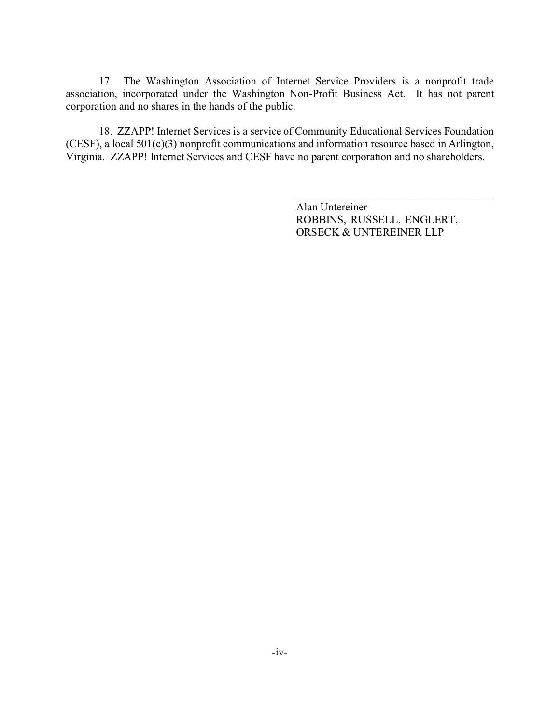17. The Washington Association of Internet Service Providers is a nonprofit trade association, incorporated under the Washington Non-Profit Business Act. It has not parent corporation and no shares in the hands of the public.

18. ZZAPP! Internet Services is a service of Community Educational Services Foundation (CESF), a local 501(c)(3) nonprofit communications and information resource based in Arlington, Virginia. ZZAPP! Internet Services and CESF have no parent corporation and no shareholders.

> Alan Untereiner ROBBINS, RUSSELL, ENGLERT, ORSECK & UNTEREINER LLP

\_\_\_\_\_\_\_\_\_\_\_\_\_\_\_\_\_\_\_\_\_\_\_\_\_\_\_\_\_\_\_\_\_\_\_\_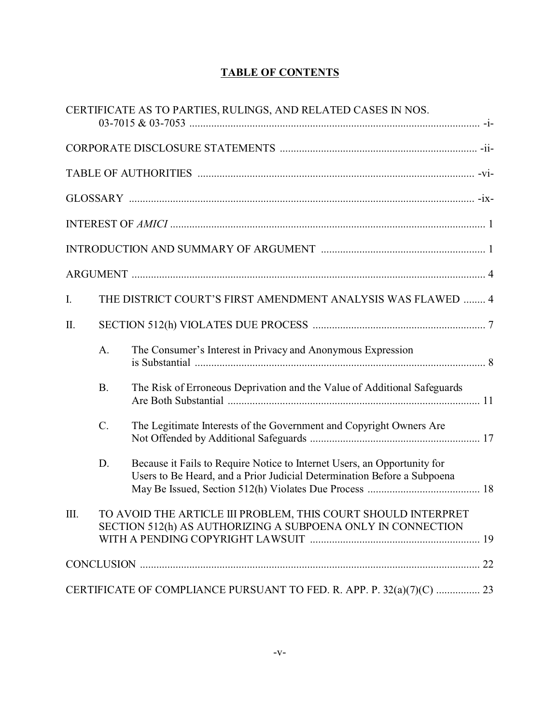# **TABLE OF CONTENTS**

|      |           | CERTIFICATE AS TO PARTIES, RULINGS, AND RELATED CASES IN NOS.                                                                                       |
|------|-----------|-----------------------------------------------------------------------------------------------------------------------------------------------------|
|      |           |                                                                                                                                                     |
|      |           |                                                                                                                                                     |
|      |           |                                                                                                                                                     |
|      |           |                                                                                                                                                     |
|      |           |                                                                                                                                                     |
|      |           |                                                                                                                                                     |
| I.   |           | THE DISTRICT COURT'S FIRST AMENDMENT ANALYSIS WAS FLAWED  4                                                                                         |
| II.  |           |                                                                                                                                                     |
|      | A.        | The Consumer's Interest in Privacy and Anonymous Expression                                                                                         |
|      | <b>B.</b> | The Risk of Erroneous Deprivation and the Value of Additional Safeguards                                                                            |
|      | C.        | The Legitimate Interests of the Government and Copyright Owners Are                                                                                 |
|      | D.        | Because it Fails to Require Notice to Internet Users, an Opportunity for<br>Users to Be Heard, and a Prior Judicial Determination Before a Subpoena |
| III. |           | TO AVOID THE ARTICLE III PROBLEM, THIS COURT SHOULD INTERPRET<br>SECTION 512(h) AS AUTHORIZING A SUBPOENA ONLY IN CONNECTION                        |
|      |           |                                                                                                                                                     |
|      |           | CERTIFICATE OF COMPLIANCE PURSUANT TO FED. R. APP. P. 32(a)(7)(C)  23                                                                               |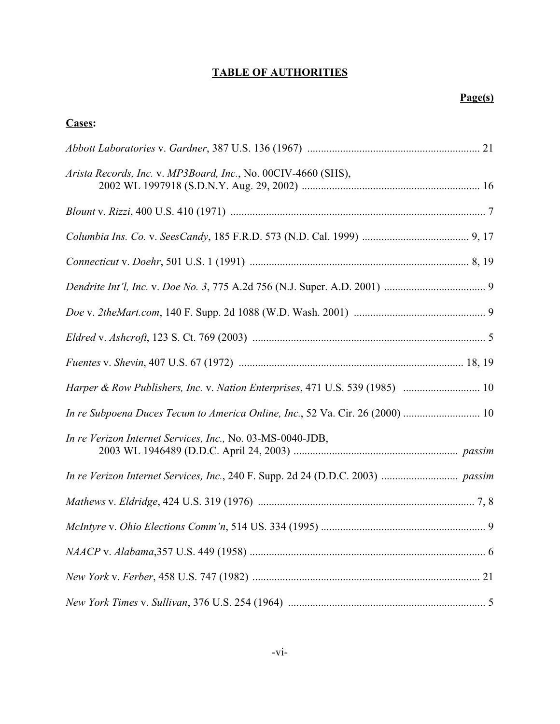# **TABLE OF AUTHORITIES**

| Cases:                                                                        |
|-------------------------------------------------------------------------------|
|                                                                               |
| Arista Records, Inc. v. MP3Board, Inc., No. 00CIV-4660 (SHS),                 |
|                                                                               |
|                                                                               |
|                                                                               |
|                                                                               |
|                                                                               |
|                                                                               |
|                                                                               |
|                                                                               |
| In re Subpoena Duces Tecum to America Online, Inc., 52 Va. Cir. 26 (2000)  10 |
| In re Verizon Internet Services, Inc., No. 03-MS-0040-JDB,                    |
|                                                                               |
|                                                                               |
|                                                                               |
|                                                                               |
|                                                                               |
|                                                                               |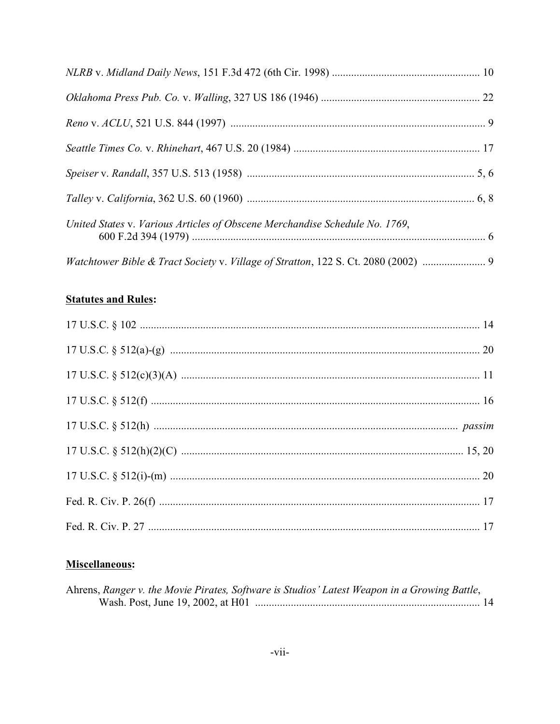| United States v. Various Articles of Obscene Merchandise Schedule No. 1769,        |  |
|------------------------------------------------------------------------------------|--|
| Watchtower Bible & Tract Society v. Village of Stratton, 122 S. Ct. 2080 (2002)  9 |  |

# **Statutes and Rules:**

# Miscellaneous:

| Ahrens, Ranger v. the Movie Pirates, Software is Studios' Latest Weapon in a Growing Battle, |
|----------------------------------------------------------------------------------------------|
|                                                                                              |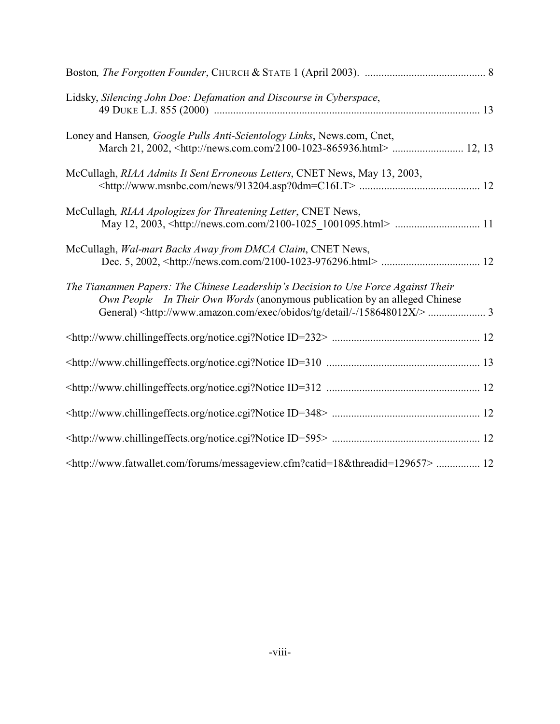| Lidsky, Silencing John Doe: Defamation and Discourse in Cyberspace,                                                                                                                                                                                                     |
|-------------------------------------------------------------------------------------------------------------------------------------------------------------------------------------------------------------------------------------------------------------------------|
| Loney and Hansen, Google Pulls Anti-Scientology Links, News.com, Cnet,                                                                                                                                                                                                  |
| McCullagh, RIAA Admits It Sent Erroneous Letters, CNET News, May 13, 2003,                                                                                                                                                                                              |
| McCullagh, RIAA Apologizes for Threatening Letter, CNET News,                                                                                                                                                                                                           |
| McCullagh, Wal-mart Backs Away from DMCA Claim, CNET News,                                                                                                                                                                                                              |
| The Tiananmen Papers: The Chinese Leadership's Decision to Use Force Against Their<br>Own People – In Their Own Words (anonymous publication by an alleged Chinese<br>General) <http: -="" 158648012x="" detail="" exec="" obidos="" tg="" www.amazon.com=""></http:> 3 |
|                                                                                                                                                                                                                                                                         |
|                                                                                                                                                                                                                                                                         |
|                                                                                                                                                                                                                                                                         |
|                                                                                                                                                                                                                                                                         |
|                                                                                                                                                                                                                                                                         |
| <http: forums="" messageview.cfm?catid="18&amp;threadid=129657" www.fatwallet.com="">  12</http:>                                                                                                                                                                       |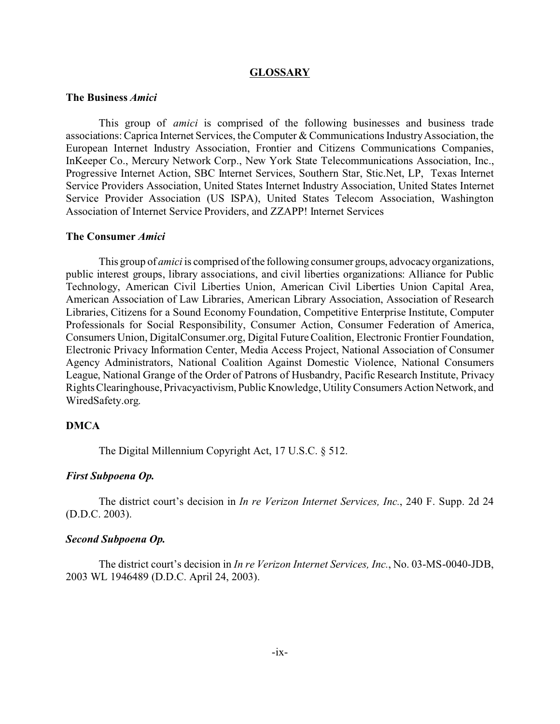#### **GLOSSARY**

### **The Business** *Amici*

This group of *amici* is comprised of the following businesses and business trade associations: Caprica Internet Services, the Computer & Communications Industry Association, the European Internet Industry Association, Frontier and Citizens Communications Companies, InKeeper Co., Mercury Network Corp., New York State Telecommunications Association, Inc., Progressive Internet Action, SBC Internet Services, Southern Star, Stic.Net, LP, Texas Internet Service Providers Association, United States Internet Industry Association, United States Internet Service Provider Association (US ISPA), United States Telecom Association, Washington Association of Internet Service Providers, and ZZAPP! Internet Services

### **The Consumer** *Amici*

This group of *amici* is comprised of the following consumer groups, advocacy organizations, public interest groups, library associations, and civil liberties organizations: Alliance for Public Technology, American Civil Liberties Union, American Civil Liberties Union Capital Area, American Association of Law Libraries, American Library Association, Association of Research Libraries, Citizens for a Sound Economy Foundation, Competitive Enterprise Institute, Computer Professionals for Social Responsibility, Consumer Action, Consumer Federation of America, Consumers Union, DigitalConsumer.org, Digital Future Coalition, Electronic Frontier Foundation, Electronic Privacy Information Center, Media Access Project, National Association of Consumer Agency Administrators, National Coalition Against Domestic Violence, National Consumers League, National Grange of the Order of Patrons of Husbandry, Pacific Research Institute, Privacy Rights Clearinghouse, Privacyactivism, Public Knowledge, Utility Consumers Action Network, and WiredSafety.org.

### **DMCA**

The Digital Millennium Copyright Act, 17 U.S.C. § 512.

#### *First Subpoena Op.*

The district court's decision in *In re Verizon Internet Services, Inc.*, 240 F. Supp. 2d 24 (D.D.C. 2003).

### *Second Subpoena Op.*

The district court's decision in *In re Verizon Internet Services, Inc.*, No. 03-MS-0040-JDB, 2003 WL 1946489 (D.D.C. April 24, 2003).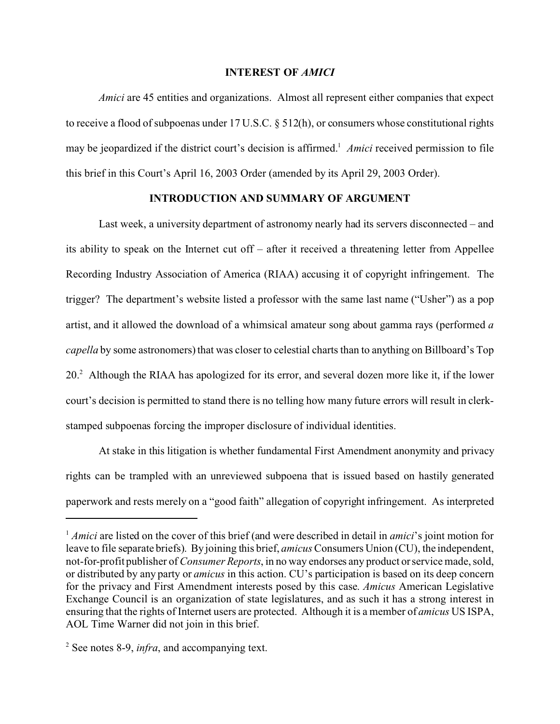### **INTEREST OF** *AMICI*

*Amici* are 45 entities and organizations. Almost all represent either companies that expect to receive a flood of subpoenas under 17 U.S.C. § 512(h), or consumers whose constitutional rights may be jeopardized if the district court's decision is affirmed.<sup>1</sup> Amici received permission to file this brief in this Court's April 16, 2003 Order (amended by its April 29, 2003 Order).

## **INTRODUCTION AND SUMMARY OF ARGUMENT**

Last week, a university department of astronomy nearly had its servers disconnected – and its ability to speak on the Internet cut off – after it received a threatening letter from Appellee Recording Industry Association of America (RIAA) accusing it of copyright infringement. The trigger? The department's website listed a professor with the same last name ("Usher") as a pop artist, and it allowed the download of a whimsical amateur song about gamma rays (performed *a capella* by some astronomers) that was closer to celestial charts than to anything on Billboard's Top 20.<sup>2</sup> Although the RIAA has apologized for its error, and several dozen more like it, if the lower court's decision is permitted to stand there is no telling how many future errors will result in clerkstamped subpoenas forcing the improper disclosure of individual identities.

At stake in this litigation is whether fundamental First Amendment anonymity and privacy rights can be trampled with an unreviewed subpoena that is issued based on hastily generated paperwork and rests merely on a "good faith" allegation of copyright infringement. As interpreted

<sup>&</sup>lt;sup>1</sup> *Amici* are listed on the cover of this brief (and were described in detail in *amici*'s joint motion for leave to file separate briefs). By joining this brief, *amicus* Consumers Union (CU), the independent, not-for-profit publisher of *Consumer Reports*, in no way endorses any product or service made, sold, or distributed by any party or *amicus* in this action. CU's participation is based on its deep concern for the privacy and First Amendment interests posed by this case. *Amicus* American Legislative Exchange Council is an organization of state legislatures, and as such it has a strong interest in ensuring that the rights of Internet users are protected. Although it is a member of *amicus* US ISPA, AOL Time Warner did not join in this brief.

<sup>2</sup> See notes 8-9, *infra*, and accompanying text.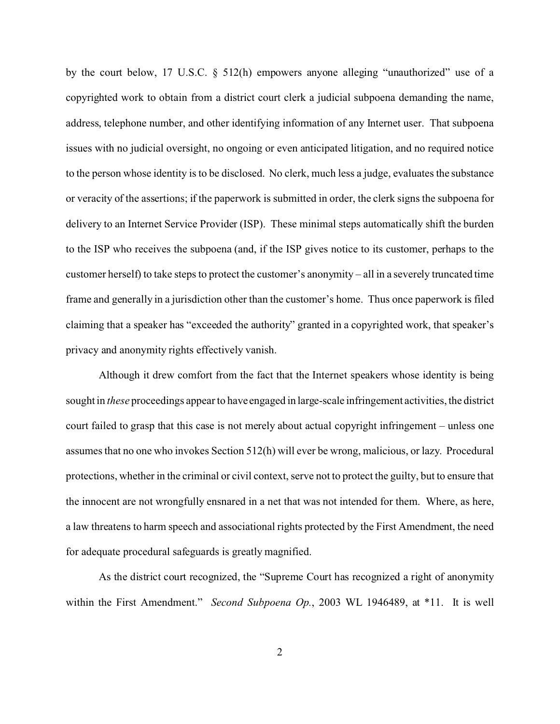by the court below, 17 U.S.C. § 512(h) empowers anyone alleging "unauthorized" use of a copyrighted work to obtain from a district court clerk a judicial subpoena demanding the name, address, telephone number, and other identifying information of any Internet user. That subpoena issues with no judicial oversight, no ongoing or even anticipated litigation, and no required notice to the person whose identity is to be disclosed. No clerk, much less a judge, evaluates the substance or veracity of the assertions; if the paperwork is submitted in order, the clerk signs the subpoena for delivery to an Internet Service Provider (ISP). These minimal steps automatically shift the burden to the ISP who receives the subpoena (and, if the ISP gives notice to its customer, perhaps to the customer herself) to take steps to protect the customer's anonymity – all in a severely truncated time frame and generally in a jurisdiction other than the customer's home. Thus once paperwork is filed claiming that a speaker has "exceeded the authority" granted in a copyrighted work, that speaker's privacy and anonymity rights effectively vanish.

Although it drew comfort from the fact that the Internet speakers whose identity is being sought in *these* proceedings appear to have engaged in large-scale infringement activities, the district court failed to grasp that this case is not merely about actual copyright infringement – unless one assumes that no one who invokes Section 512(h) will ever be wrong, malicious, or lazy. Procedural protections, whether in the criminal or civil context, serve not to protect the guilty, but to ensure that the innocent are not wrongfully ensnared in a net that was not intended for them. Where, as here, a law threatens to harm speech and associational rights protected by the First Amendment, the need for adequate procedural safeguards is greatly magnified.

As the district court recognized, the "Supreme Court has recognized a right of anonymity within the First Amendment." *Second Subpoena Op.*, 2003 WL 1946489, at \*11. It is well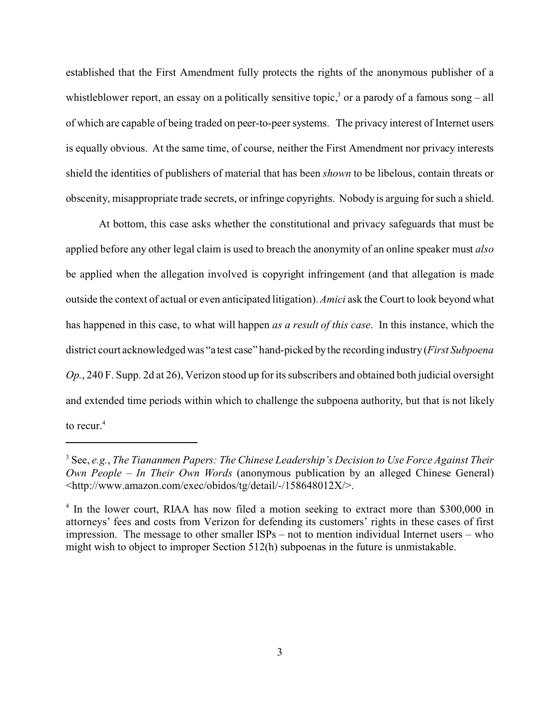established that the First Amendment fully protects the rights of the anonymous publisher of a whistleblower report, an essay on a politically sensitive topic,<sup>3</sup> or a parody of a famous song – all of which are capable of being traded on peer-to-peer systems. The privacy interest of Internet users is equally obvious. At the same time, of course, neither the First Amendment nor privacy interests shield the identities of publishers of material that has been *shown* to be libelous, contain threats or obscenity, misappropriate trade secrets, or infringe copyrights. Nobody is arguing for such a shield.

At bottom, this case asks whether the constitutional and privacy safeguards that must be applied before any other legal claim is used to breach the anonymity of an online speaker must *also* be applied when the allegation involved is copyright infringement (and that allegation is made outside the context of actual or even anticipated litigation). *Amici* ask the Court to look beyond what has happened in this case, to what will happen *as a result of this case*. In this instance, which the district court acknowledged was "a test case" hand-picked by the recording industry (*First Subpoena Op.*, 240 F. Supp. 2d at 26), Verizon stood up for its subscribers and obtained both judicial oversight and extended time periods within which to challenge the subpoena authority, but that is not likely to recur.<sup>4</sup>

<sup>3</sup> See, *e.g.*, *The Tiananmen Papers: The Chinese Leadership's Decision to Use Force Against Their Own People – In Their Own Words* (anonymous publication by an alleged Chinese General) <http://www.amazon.com/exec/obidos/tg/detail/-/158648012X/>.

<sup>&</sup>lt;sup>4</sup> In the lower court, RIAA has now filed a motion seeking to extract more than \$300,000 in attorneys' fees and costs from Verizon for defending its customers' rights in these cases of first impression. The message to other smaller ISPs – not to mention individual Internet users – who might wish to object to improper Section 512(h) subpoenas in the future is unmistakable.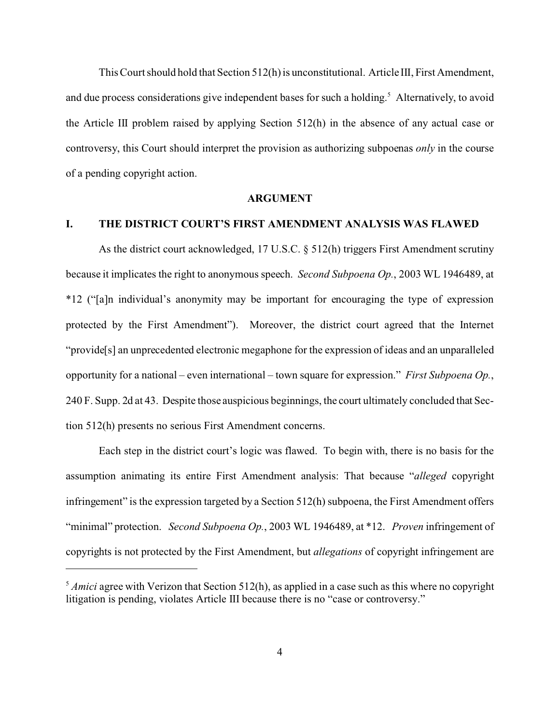This Court should hold that Section 512(h) is unconstitutional. Article III, First Amendment, and due process considerations give independent bases for such a holding.<sup>5</sup> Alternatively, to avoid the Article III problem raised by applying Section 512(h) in the absence of any actual case or controversy, this Court should interpret the provision as authorizing subpoenas *only* in the course of a pending copyright action.

#### **ARGUMENT**

## **I. THE DISTRICT COURT'S FIRST AMENDMENT ANALYSIS WAS FLAWED**

As the district court acknowledged, 17 U.S.C. § 512(h) triggers First Amendment scrutiny because it implicates the right to anonymous speech. *Second Subpoena Op.*, 2003 WL 1946489, at \*12 ("[a]n individual's anonymity may be important for encouraging the type of expression protected by the First Amendment"). Moreover, the district court agreed that the Internet "provide[s] an unprecedented electronic megaphone for the expression of ideas and an unparalleled opportunity for a national – even international – town square for expression." *First Subpoena Op.*, 240 F. Supp. 2d at 43. Despite those auspicious beginnings, the court ultimately concluded that Section 512(h) presents no serious First Amendment concerns.

Each step in the district court's logic was flawed. To begin with, there is no basis for the assumption animating its entire First Amendment analysis: That because "*alleged* copyright infringement" is the expression targeted by a Section 512(h) subpoena, the First Amendment offers "minimal" protection. *Second Subpoena Op.*, 2003 WL 1946489, at \*12. *Proven* infringement of copyrights is not protected by the First Amendment, but *allegations* of copyright infringement are

<sup>&</sup>lt;sup>5</sup> *Amici* agree with Verizon that Section 512(h), as applied in a case such as this where no copyright litigation is pending, violates Article III because there is no "case or controversy."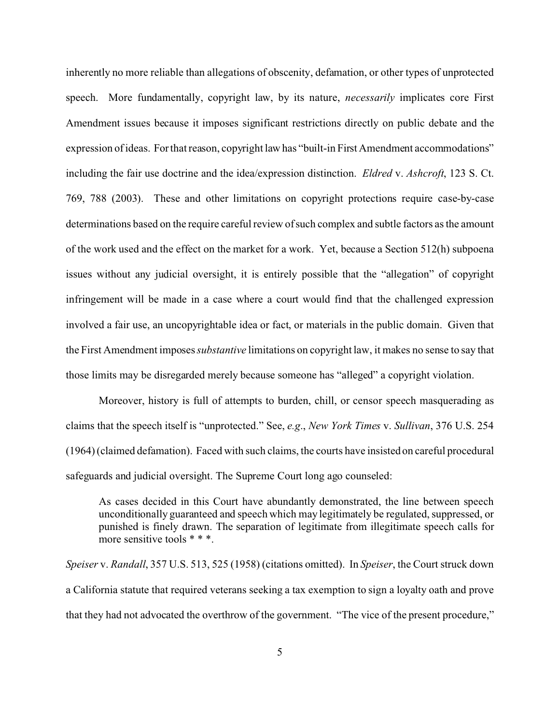inherently no more reliable than allegations of obscenity, defamation, or other types of unprotected speech. More fundamentally, copyright law, by its nature, *necessarily* implicates core First Amendment issues because it imposes significant restrictions directly on public debate and the expression of ideas. For that reason, copyright law has "built-in First Amendment accommodations" including the fair use doctrine and the idea/expression distinction. *Eldred* v. *Ashcroft*, 123 S. Ct. 769, 788 (2003). These and other limitations on copyright protections require case-by-case determinations based on the require careful review of such complex and subtle factors as the amount of the work used and the effect on the market for a work. Yet, because a Section 512(h) subpoena issues without any judicial oversight, it is entirely possible that the "allegation" of copyright infringement will be made in a case where a court would find that the challenged expression involved a fair use, an uncopyrightable idea or fact, or materials in the public domain. Given that the First Amendment imposes *substantive* limitations on copyright law, it makes no sense to say that those limits may be disregarded merely because someone has "alleged" a copyright violation.

Moreover, history is full of attempts to burden, chill, or censor speech masquerading as claims that the speech itself is "unprotected." See, *e.g*., *New York Times* v. *Sullivan*, 376 U.S. 254 (1964) (claimed defamation). Faced with such claims, the courts have insisted on careful procedural safeguards and judicial oversight. The Supreme Court long ago counseled:

As cases decided in this Court have abundantly demonstrated, the line between speech unconditionally guaranteed and speech which may legitimately be regulated, suppressed, or punished is finely drawn. The separation of legitimate from illegitimate speech calls for more sensitive tools \* \* \*.

*Speiser* v. *Randall*, 357 U.S. 513, 525 (1958) (citations omitted). In *Speiser*, the Court struck down a California statute that required veterans seeking a tax exemption to sign a loyalty oath and prove that they had not advocated the overthrow of the government. "The vice of the present procedure,"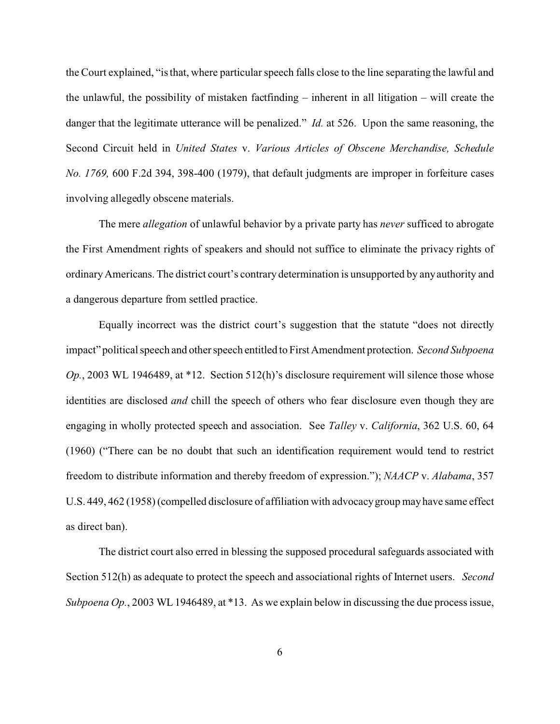the Court explained, "is that, where particular speech falls close to the line separating the lawful and the unlawful, the possibility of mistaken factfinding – inherent in all litigation – will create the danger that the legitimate utterance will be penalized." *Id.* at 526. Upon the same reasoning, the Second Circuit held in *United States* v. *Various Articles of Obscene Merchandise, Schedule No. 1769,* 600 F.2d 394, 398-400 (1979), that default judgments are improper in forfeiture cases involving allegedly obscene materials.

The mere *allegation* of unlawful behavior by a private party has *never* sufficed to abrogate the First Amendment rights of speakers and should not suffice to eliminate the privacy rights of ordinary Americans. The district court's contrary determination is unsupported by any authority and a dangerous departure from settled practice.

Equally incorrect was the district court's suggestion that the statute "does not directly impact" political speech and other speech entitled to First Amendment protection. *Second Subpoena Op.*, 2003 WL 1946489, at \*12. Section 512(h)'s disclosure requirement will silence those whose identities are disclosed *and* chill the speech of others who fear disclosure even though they are engaging in wholly protected speech and association. See *Talley* v. *California*, 362 U.S. 60, 64 (1960) ("There can be no doubt that such an identification requirement would tend to restrict freedom to distribute information and thereby freedom of expression."); *NAACP* v. *Alabama*, 357 U.S. 449, 462 (1958) (compelled disclosure of affiliation with advocacy group may have same effect as direct ban).

The district court also erred in blessing the supposed procedural safeguards associated with Section 512(h) as adequate to protect the speech and associational rights of Internet users. *Second Subpoena Op.*, 2003 WL 1946489, at \*13. As we explain below in discussing the due process issue,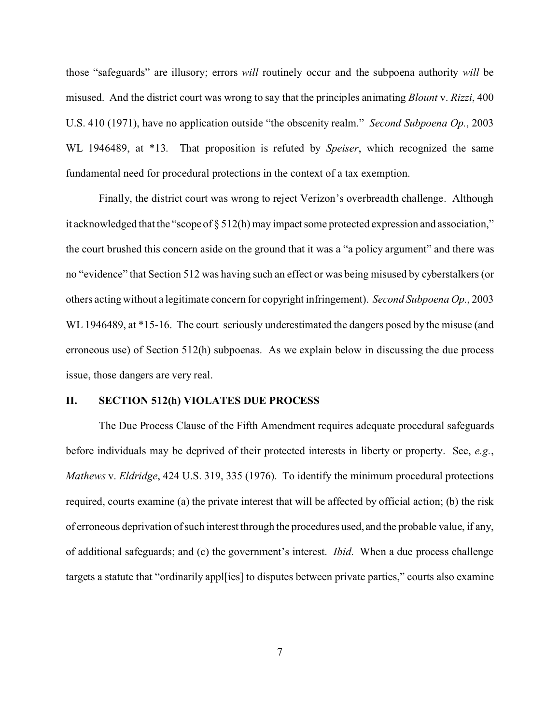those "safeguards" are illusory; errors *will* routinely occur and the subpoena authority *will* be misused. And the district court was wrong to say that the principles animating *Blount* v. *Rizzi*, 400 U.S. 410 (1971), have no application outside "the obscenity realm." *Second Subpoena Op.*, 2003 WL 1946489, at \*13. That proposition is refuted by *Speiser*, which recognized the same fundamental need for procedural protections in the context of a tax exemption.

Finally, the district court was wrong to reject Verizon's overbreadth challenge. Although it acknowledged that the "scope of § 512(h) may impact some protected expression and association," the court brushed this concern aside on the ground that it was a "a policy argument" and there was no "evidence" that Section 512 was having such an effect or was being misused by cyberstalkers (or others acting without a legitimate concern for copyright infringement). *Second Subpoena Op.*, 2003 WL 1946489, at \*15-16. The court seriously underestimated the dangers posed by the misuse (and erroneous use) of Section 512(h) subpoenas. As we explain below in discussing the due process issue, those dangers are very real.

### **II. SECTION 512(h) VIOLATES DUE PROCESS**

The Due Process Clause of the Fifth Amendment requires adequate procedural safeguards before individuals may be deprived of their protected interests in liberty or property. See, *e.g.*, *Mathews* v. *Eldridge*, 424 U.S. 319, 335 (1976). To identify the minimum procedural protections required, courts examine (a) the private interest that will be affected by official action; (b) the risk of erroneous deprivation of such interest through the procedures used, and the probable value, if any, of additional safeguards; and (c) the government's interest. *Ibid*. When a due process challenge targets a statute that "ordinarily appl[ies] to disputes between private parties," courts also examine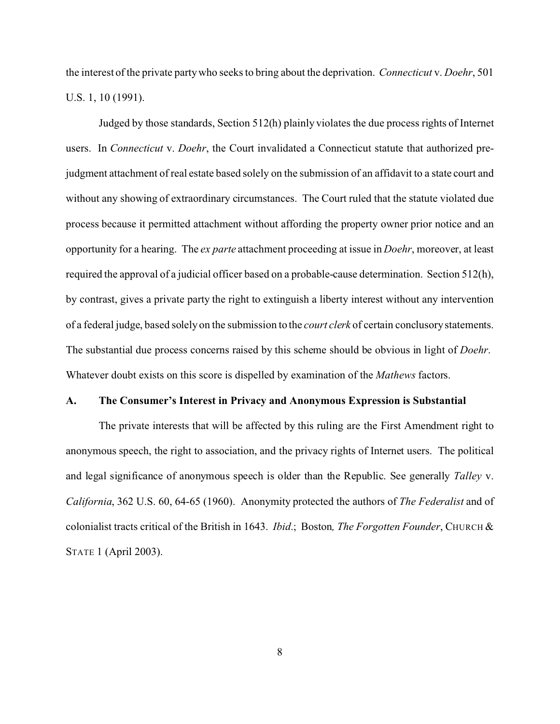the interest of the private party who seeks to bring about the deprivation. *Connecticut* v. *Doehr*, 501 U.S. 1, 10 (1991).

Judged by those standards, Section 512(h) plainly violates the due process rights of Internet users. In *Connecticut* v. *Doehr*, the Court invalidated a Connecticut statute that authorized prejudgment attachment of real estate based solely on the submission of an affidavit to a state court and without any showing of extraordinary circumstances. The Court ruled that the statute violated due process because it permitted attachment without affording the property owner prior notice and an opportunity for a hearing. The *ex parte* attachment proceeding at issue in *Doehr*, moreover, at least required the approval of a judicial officer based on a probable-cause determination. Section 512(h), by contrast, gives a private party the right to extinguish a liberty interest without any intervention of a federal judge, based solely on the submission to the *court clerk* of certain conclusory statements. The substantial due process concerns raised by this scheme should be obvious in light of *Doehr*. Whatever doubt exists on this score is dispelled by examination of the *Mathews* factors.

#### **A. The Consumer's Interest in Privacy and Anonymous Expression is Substantial**

The private interests that will be affected by this ruling are the First Amendment right to anonymous speech, the right to association, and the privacy rights of Internet users. The political and legal significance of anonymous speech is older than the Republic. See generally *Talley* v. *California*, 362 U.S. 60, 64-65 (1960). Anonymity protected the authors of *The Federalist* and of colonialist tracts critical of the British in 1643. *Ibid*.; Boston*, The Forgotten Founder*, CHURCH & STATE 1 (April 2003).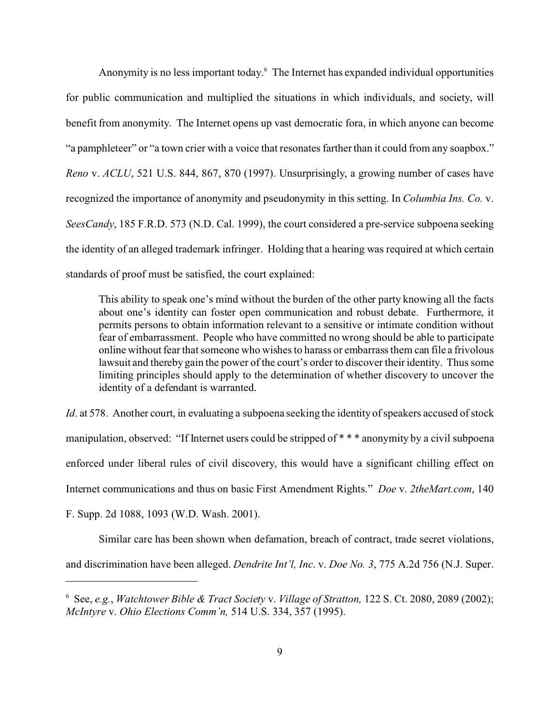Anonymity is no less important today.<sup>6</sup> The Internet has expanded individual opportunities for public communication and multiplied the situations in which individuals, and society, will benefit from anonymity. The Internet opens up vast democratic fora, in which anyone can become "a pamphleteer" or "a town crier with a voice that resonates farther than it could from any soapbox." *Reno* v. *ACLU*, 521 U.S. 844, 867, 870 (1997). Unsurprisingly, a growing number of cases have recognized the importance of anonymity and pseudonymity in this setting. In *Columbia Ins. Co.* v. *SeesCandy*, 185 F.R.D. 573 (N.D. Cal. 1999), the court considered a pre-service subpoena seeking the identity of an alleged trademark infringer. Holding that a hearing was required at which certain standards of proof must be satisfied, the court explained:

This ability to speak one's mind without the burden of the other party knowing all the facts about one's identity can foster open communication and robust debate. Furthermore, it permits persons to obtain information relevant to a sensitive or intimate condition without fear of embarrassment. People who have committed no wrong should be able to participate online without fear that someone who wishes to harass or embarrass them can file a frivolous lawsuit and thereby gain the power of the court's order to discover their identity. Thus some limiting principles should apply to the determination of whether discovery to uncover the identity of a defendant is warranted.

*Id.* at 578. Another court, in evaluating a subpoena seeking the identity of speakers accused of stock manipulation, observed: "If Internet users could be stripped of \* \* \* anonymity by a civil subpoena enforced under liberal rules of civil discovery, this would have a significant chilling effect on Internet communications and thus on basic First Amendment Rights." *Doe* v. *2theMart.com*, 140

F. Supp. 2d 1088, 1093 (W.D. Wash. 2001).

Similar care has been shown when defamation, breach of contract, trade secret violations, and discrimination have been alleged. *Dendrite Int'l, Inc*. v. *Doe No. 3*, 775 A.2d 756 (N.J. Super.

<sup>6</sup> See, *e.g.*, *Watchtower Bible & Tract Society* v. *Village of Stratton,* 122 S. Ct. 2080, 2089 (2002); *McIntyre* v. *Ohio Elections Comm'n,* 514 U.S. 334, 357 (1995).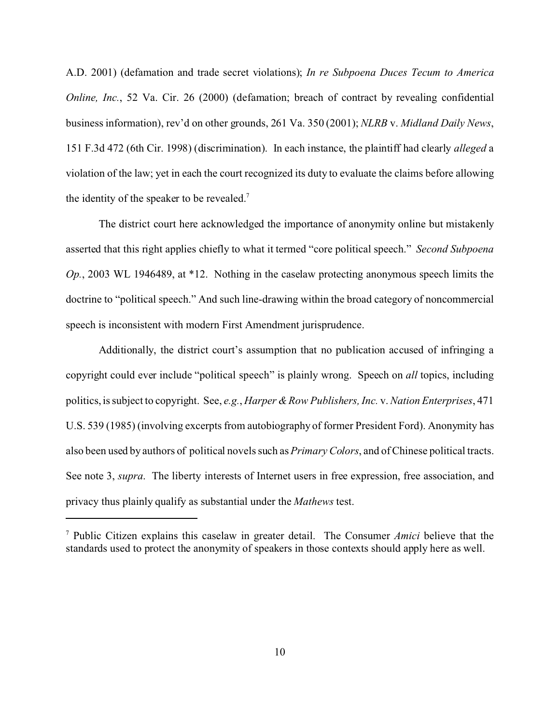A.D. 2001) (defamation and trade secret violations); *In re Subpoena Duces Tecum to America Online, Inc.*, 52 Va. Cir. 26 (2000) (defamation; breach of contract by revealing confidential business information), rev'd on other grounds, 261 Va. 350 (2001); *NLRB* v. *Midland Daily News*, 151 F.3d 472 (6th Cir. 1998) (discrimination). In each instance, the plaintiff had clearly *alleged* a violation of the law; yet in each the court recognized its duty to evaluate the claims before allowing the identity of the speaker to be revealed.<sup>7</sup>

The district court here acknowledged the importance of anonymity online but mistakenly asserted that this right applies chiefly to what it termed "core political speech." *Second Subpoena Op.*, 2003 WL 1946489, at \*12. Nothing in the caselaw protecting anonymous speech limits the doctrine to "political speech." And such line-drawing within the broad category of noncommercial speech is inconsistent with modern First Amendment jurisprudence.

Additionally, the district court's assumption that no publication accused of infringing a copyright could ever include "political speech" is plainly wrong. Speech on *all* topics, including politics, is subject to copyright. See, *e.g.*, *Harper & Row Publishers, Inc.* v. *Nation Enterprises*, 471 U.S. 539 (1985) (involving excerpts from autobiography of former President Ford). Anonymity has also been used by authors of political novels such as *Primary Colors*, and of Chinese political tracts. See note 3, *supra*. The liberty interests of Internet users in free expression, free association, and privacy thus plainly qualify as substantial under the *Mathews* test.

<sup>7</sup> Public Citizen explains this caselaw in greater detail. The Consumer *Amici* believe that the standards used to protect the anonymity of speakers in those contexts should apply here as well.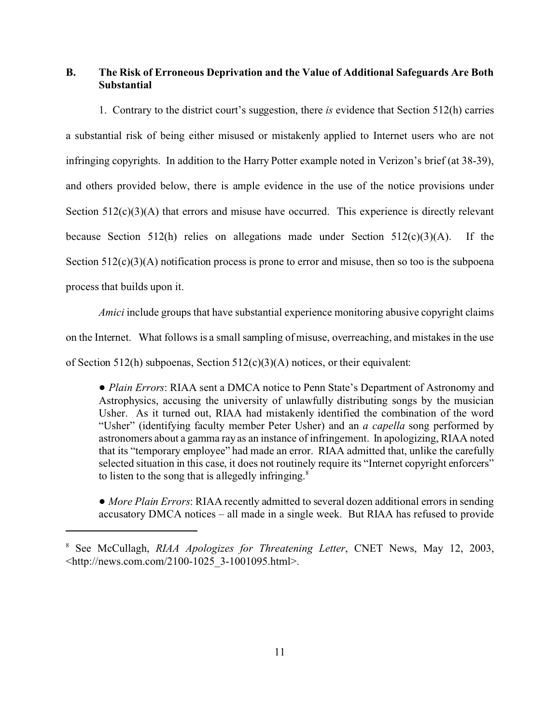## **B. The Risk of Erroneous Deprivation and the Value of Additional Safeguards Are Both Substantial**

1. Contrary to the district court's suggestion, there *is* evidence that Section 512(h) carries a substantial risk of being either misused or mistakenly applied to Internet users who are not infringing copyrights. In addition to the Harry Potter example noted in Verizon's brief (at 38-39), and others provided below, there is ample evidence in the use of the notice provisions under Section  $512(c)(3)(A)$  that errors and misuse have occurred. This experience is directly relevant because Section 512(h) relies on allegations made under Section  $512(c)(3)(A)$ . If the Section  $512(c)(3)(A)$  notification process is prone to error and misuse, then so too is the subpoena process that builds upon it.

*Amici* include groups that have substantial experience monitoring abusive copyright claims on the Internet. What follows is a small sampling of misuse, overreaching, and mistakes in the use of Section 512(h) subpoenas, Section  $512(c)(3)(A)$  notices, or their equivalent:

! *Plain Errors*: RIAA sent a DMCA notice to Penn State's Department of Astronomy and Astrophysics, accusing the university of unlawfully distributing songs by the musician Usher. As it turned out, RIAA had mistakenly identified the combination of the word "Usher" (identifying faculty member Peter Usher) and an *a capella* song performed by astronomers about a gamma ray as an instance of infringement. In apologizing, RIAA noted that its "temporary employee" had made an error. RIAA admitted that, unlike the carefully selected situation in this case, it does not routinely require its "Internet copyright enforcers" to listen to the song that is allegedly infringing. $8$ 

• *More Plain Errors*: RIAA recently admitted to several dozen additional errors in sending accusatory DMCA notices – all made in a single week. But RIAA has refused to provide

<sup>8</sup> See McCullagh, *RIAA Apologizes for Threatening Letter*, CNET News, May 12, 2003, <http://news.com.com/2100-1025\_3-1001095.html>.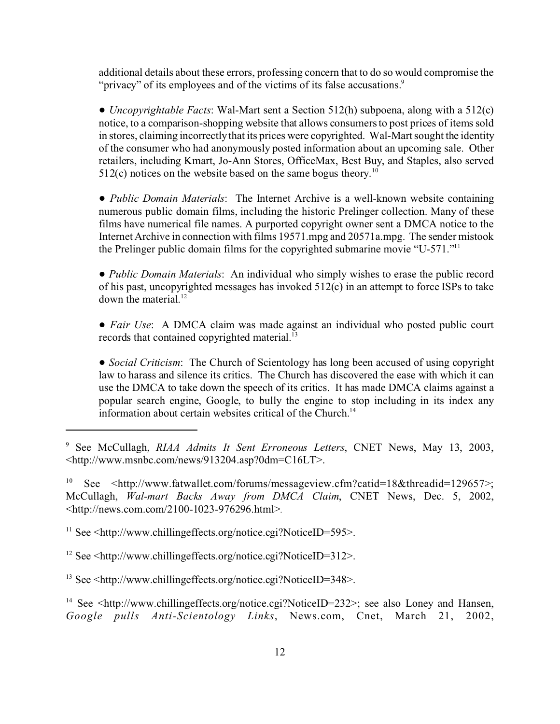additional details about these errors, professing concern that to do so would compromise the "privacy" of its employees and of the victims of its false accusations.<sup>9</sup>

! *Uncopyrightable Facts*: Wal-Mart sent a Section 512(h) subpoena, along with a 512(c) notice, to a comparison-shopping website that allows consumers to post prices of items sold in stores, claiming incorrectly that its prices were copyrighted. Wal-Mart sought the identity of the consumer who had anonymously posted information about an upcoming sale. Other retailers, including Kmart, Jo-Ann Stores, OfficeMax, Best Buy, and Staples, also served  $512(c)$  notices on the website based on the same bogus theory.<sup>10</sup>

! *Public Domain Materials*: The Internet Archive is a well-known website containing numerous public domain films, including the historic Prelinger collection. Many of these films have numerical file names. A purported copyright owner sent a DMCA notice to the Internet Archive in connection with films 19571.mpg and 20571a.mpg. The sender mistook the Prelinger public domain films for the copyrighted submarine movie "U-571."<sup>11</sup>

! *Public Domain Materials*: An individual who simply wishes to erase the public record of his past, uncopyrighted messages has invoked 512(c) in an attempt to force ISPs to take down the material.<sup>12</sup>

! *Fair Use*: A DMCA claim was made against an individual who posted public court records that contained copyrighted material.<sup>13</sup>

! *Social Criticism*: The Church of Scientology has long been accused of using copyright law to harass and silence its critics. The Church has discovered the ease with which it can use the DMCA to take down the speech of its critics. It has made DMCA claims against a popular search engine, Google, to bully the engine to stop including in its index any information about certain websites critical of the Church.14

<sup>9</sup> See McCullagh, *RIAA Admits It Sent Erroneous Letters*, CNET News, May 13, 2003, <http://www.msnbc.com/news/913204.asp?0dm=C16LT>.

<sup>&</sup>lt;sup>10</sup> See <http://www.fatwallet.com/forums/messageview.cfm?catid=18&threadid=129657>; McCullagh, *Wal-mart Backs Away from DMCA Claim*, CNET News, Dec. 5, 2002, <http://news.com.com/2100-1023-976296.html>.

 $11$  See  $\leq$ http://www.chillingeffects.org/notice.cgi?NoticeID=595>.

 $12$  See  $\leq$ http://www.chillingeffects.org/notice.cgi?NoticeID=312>.

<sup>13</sup> See <http://www.chillingeffects.org/notice.cgi?NoticeID=348>.

<sup>&</sup>lt;sup>14</sup> See  $\lt$ http://www.chillingeffects.org/notice.cgi?NoticeID=232>; see also Loney and Hansen, *Google pulls Anti-Scientology Links*, News.com, Cnet, March 21, 2002,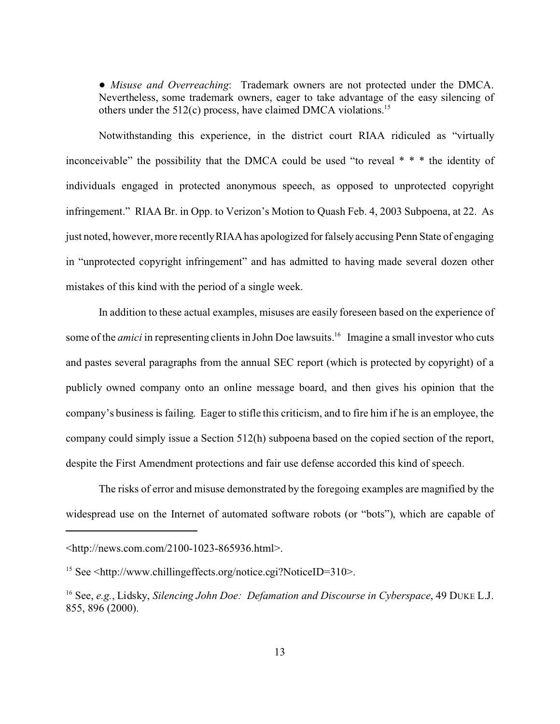! *Misuse and Overreaching*: Trademark owners are not protected under the DMCA. Nevertheless, some trademark owners, eager to take advantage of the easy silencing of others under the  $512(c)$  process, have claimed DMCA violations.<sup>15</sup>

Notwithstanding this experience, in the district court RIAA ridiculed as "virtually inconceivable" the possibility that the DMCA could be used "to reveal \* \* \* the identity of individuals engaged in protected anonymous speech, as opposed to unprotected copyright infringement." RIAA Br. in Opp. to Verizon's Motion to Quash Feb. 4, 2003 Subpoena, at 22. As just noted, however, more recently RIAA has apologized for falsely accusing Penn State of engaging in "unprotected copyright infringement" and has admitted to having made several dozen other mistakes of this kind with the period of a single week.

In addition to these actual examples, misuses are easily foreseen based on the experience of some of the *amici* in representing clients in John Doe lawsuits.<sup>16</sup> Imagine a small investor who cuts and pastes several paragraphs from the annual SEC report (which is protected by copyright) of a publicly owned company onto an online message board, and then gives his opinion that the company's business is failing. Eager to stifle this criticism, and to fire him if he is an employee, the company could simply issue a Section 512(h) subpoena based on the copied section of the report, despite the First Amendment protections and fair use defense accorded this kind of speech.

The risks of error and misuse demonstrated by the foregoing examples are magnified by the widespread use on the Internet of automated software robots (or "bots"), which are capable of

<sup>&</sup>lt;http://news.com.com/2100-1023-865936.html>.

<sup>15</sup> See <http://www.chillingeffects.org/notice.cgi?NoticeID=310>.

<sup>16</sup> See, *e.g.*, Lidsky, *Silencing John Doe: Defamation and Discourse in Cyberspace*, 49 DUKE L.J. 855, 896 (2000).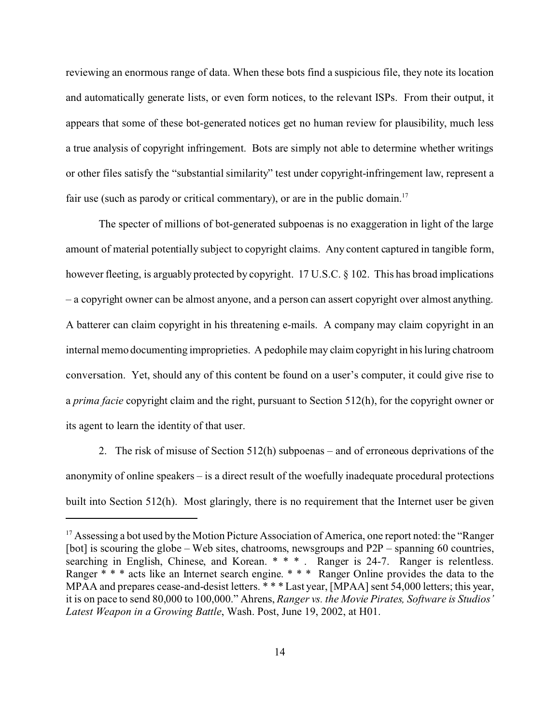reviewing an enormous range of data. When these bots find a suspicious file, they note its location and automatically generate lists, or even form notices, to the relevant ISPs. From their output, it appears that some of these bot-generated notices get no human review for plausibility, much less a true analysis of copyright infringement. Bots are simply not able to determine whether writings or other files satisfy the "substantial similarity" test under copyright-infringement law, represent a fair use (such as parody or critical commentary), or are in the public domain.<sup>17</sup>

The specter of millions of bot-generated subpoenas is no exaggeration in light of the large amount of material potentially subject to copyright claims. Any content captured in tangible form, however fleeting, is arguably protected by copyright. 17 U.S.C. § 102. This has broad implications – a copyright owner can be almost anyone, and a person can assert copyright over almost anything. A batterer can claim copyright in his threatening e-mails. A company may claim copyright in an internal memo documenting improprieties. A pedophile may claim copyright in his luring chatroom conversation. Yet, should any of this content be found on a user's computer, it could give rise to a *prima facie* copyright claim and the right, pursuant to Section 512(h), for the copyright owner or its agent to learn the identity of that user.

2. The risk of misuse of Section 512(h) subpoenas – and of erroneous deprivations of the anonymity of online speakers – is a direct result of the woefully inadequate procedural protections built into Section 512(h). Most glaringly, there is no requirement that the Internet user be given

<sup>&</sup>lt;sup>17</sup> Assessing a bot used by the Motion Picture Association of America, one report noted: the "Ranger" [bot] is scouring the globe – Web sites, chatrooms, newsgroups and P2P – spanning 60 countries, searching in English, Chinese, and Korean. \* \* \* . Ranger is 24-7. Ranger is relentless. Ranger \* \* \* acts like an Internet search engine. \* \* \* Ranger Online provides the data to the MPAA and prepares cease-and-desist letters. \* \* \* Last year, [MPAA] sent 54,000 letters; this year, it is on pace to send 80,000 to 100,000." Ahrens, *Ranger vs. the Movie Pirates, Software is Studios' Latest Weapon in a Growing Battle*, Wash. Post, June 19, 2002, at H01.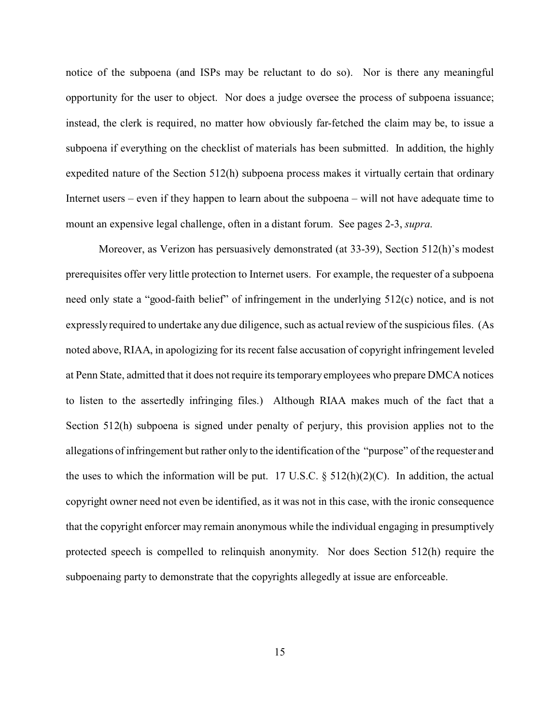notice of the subpoena (and ISPs may be reluctant to do so). Nor is there any meaningful opportunity for the user to object. Nor does a judge oversee the process of subpoena issuance; instead, the clerk is required, no matter how obviously far-fetched the claim may be, to issue a subpoena if everything on the checklist of materials has been submitted. In addition, the highly expedited nature of the Section 512(h) subpoena process makes it virtually certain that ordinary Internet users – even if they happen to learn about the subpoena – will not have adequate time to mount an expensive legal challenge, often in a distant forum. See pages 2-3, *supra*.

Moreover, as Verizon has persuasively demonstrated (at 33-39), Section 512(h)'s modest prerequisites offer very little protection to Internet users. For example, the requester of a subpoena need only state a "good-faith belief" of infringement in the underlying 512(c) notice, and is not expressly required to undertake any due diligence, such as actual review of the suspicious files. (As noted above, RIAA, in apologizing for its recent false accusation of copyright infringement leveled at Penn State, admitted that it does not require its temporary employees who prepare DMCA notices to listen to the assertedly infringing files.) Although RIAA makes much of the fact that a Section 512(h) subpoena is signed under penalty of perjury, this provision applies not to the allegations of infringement but rather only to the identification of the "purpose" of the requester and the uses to which the information will be put. 17 U.S.C.  $\S$  512(h)(2)(C). In addition, the actual copyright owner need not even be identified, as it was not in this case, with the ironic consequence that the copyright enforcer may remain anonymous while the individual engaging in presumptively protected speech is compelled to relinquish anonymity. Nor does Section 512(h) require the subpoenaing party to demonstrate that the copyrights allegedly at issue are enforceable.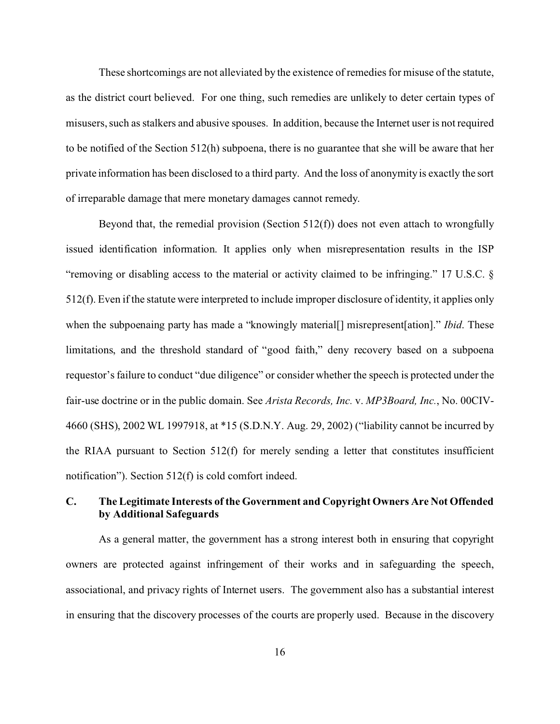These shortcomings are not alleviated by the existence of remedies for misuse of the statute, as the district court believed. For one thing, such remedies are unlikely to deter certain types of misusers, such as stalkers and abusive spouses. In addition, because the Internet user is not required to be notified of the Section 512(h) subpoena, there is no guarantee that she will be aware that her private information has been disclosed to a third party. And the loss of anonymity is exactly the sort of irreparable damage that mere monetary damages cannot remedy.

Beyond that, the remedial provision (Section  $512(f)$ ) does not even attach to wrongfully issued identification information. It applies only when misrepresentation results in the ISP "removing or disabling access to the material or activity claimed to be infringing." 17 U.S.C. § 512(f). Even if the statute were interpreted to include improper disclosure of identity, it applies only when the subpoenaing party has made a "knowingly material<sup>[]</sup> misrepresent [ation]." *Ibid*. These limitations, and the threshold standard of "good faith," deny recovery based on a subpoena requestor's failure to conduct "due diligence" or consider whether the speech is protected under the fair-use doctrine or in the public domain. See *Arista Records, Inc.* v. *MP3Board, Inc.*, No. 00CIV-4660 (SHS), 2002 WL 1997918, at \*15 (S.D.N.Y. Aug. 29, 2002) ("liability cannot be incurred by the RIAA pursuant to Section  $512(f)$  for merely sending a letter that constitutes insufficient notification"). Section 512(f) is cold comfort indeed.

## **C. The Legitimate Interests of the Government and Copyright Owners Are Not Offended by Additional Safeguards**

As a general matter, the government has a strong interest both in ensuring that copyright owners are protected against infringement of their works and in safeguarding the speech, associational, and privacy rights of Internet users. The government also has a substantial interest in ensuring that the discovery processes of the courts are properly used. Because in the discovery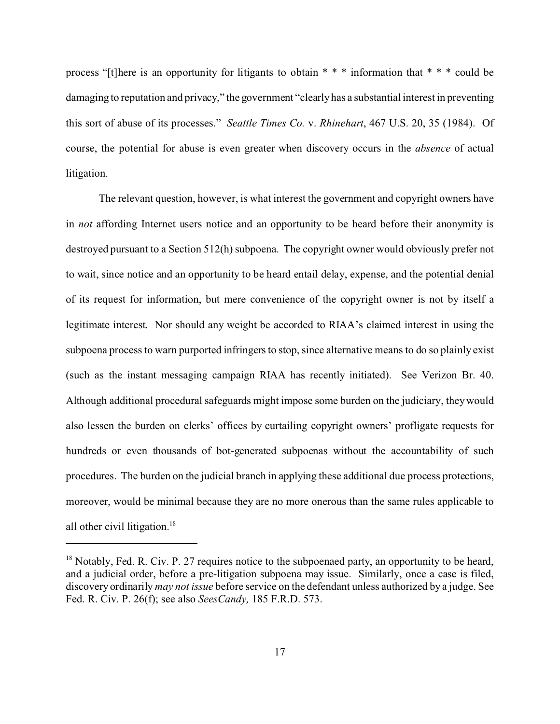process "[t]here is an opportunity for litigants to obtain \* \* \* information that \* \* \* could be damaging to reputation and privacy," the government "clearly has a substantial interest in preventing this sort of abuse of its processes." *Seattle Times Co.* v. *Rhinehart*, 467 U.S. 20, 35 (1984). Of course, the potential for abuse is even greater when discovery occurs in the *absence* of actual litigation.

The relevant question, however, is what interest the government and copyright owners have in *not* affording Internet users notice and an opportunity to be heard before their anonymity is destroyed pursuant to a Section 512(h) subpoena. The copyright owner would obviously prefer not to wait, since notice and an opportunity to be heard entail delay, expense, and the potential denial of its request for information, but mere convenience of the copyright owner is not by itself a legitimate interest. Nor should any weight be accorded to RIAA's claimed interest in using the subpoena process to warn purported infringers to stop, since alternative means to do so plainly exist (such as the instant messaging campaign RIAA has recently initiated). See Verizon Br. 40. Although additional procedural safeguards might impose some burden on the judiciary, they would also lessen the burden on clerks' offices by curtailing copyright owners' profligate requests for hundreds or even thousands of bot-generated subpoenas without the accountability of such procedures. The burden on the judicial branch in applying these additional due process protections, moreover, would be minimal because they are no more onerous than the same rules applicable to all other civil litigation.<sup>18</sup>

<sup>&</sup>lt;sup>18</sup> Notably, Fed. R. Civ. P. 27 requires notice to the subpoenaed party, an opportunity to be heard, and a judicial order, before a pre-litigation subpoena may issue. Similarly, once a case is filed, discovery ordinarily *may not issue* before service on the defendant unless authorized by a judge. See Fed. R. Civ. P. 26(f); see also *SeesCandy,* 185 F.R.D. 573.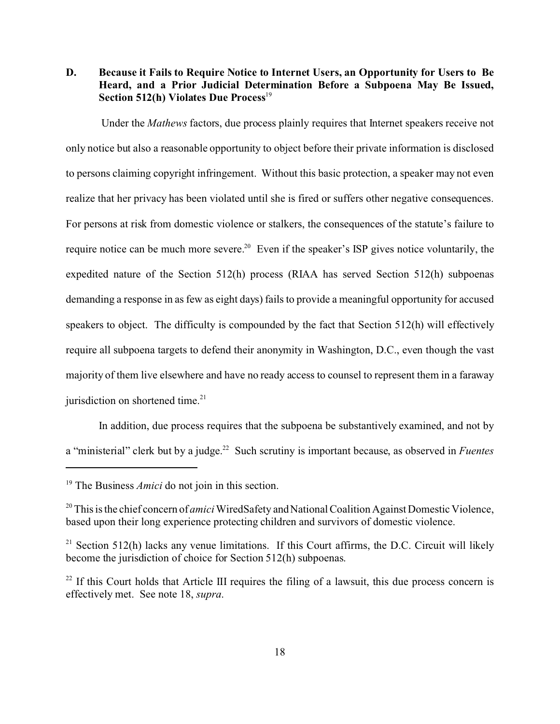**D. Because it Fails to Require Notice to Internet Users, an Opportunity for Users to Be Heard, and a Prior Judicial Determination Before a Subpoena May Be Issued, Section 512(h) Violates Due Process**<sup>19</sup>

 Under the *Mathews* factors, due process plainly requires that Internet speakers receive not only notice but also a reasonable opportunity to object before their private information is disclosed to persons claiming copyright infringement. Without this basic protection, a speaker may not even realize that her privacy has been violated until she is fired or suffers other negative consequences. For persons at risk from domestic violence or stalkers, the consequences of the statute's failure to require notice can be much more severe.<sup>20</sup> Even if the speaker's ISP gives notice voluntarily, the expedited nature of the Section 512(h) process (RIAA has served Section 512(h) subpoenas demanding a response in as few as eight days) fails to provide a meaningful opportunity for accused speakers to object. The difficulty is compounded by the fact that Section 512(h) will effectively require all subpoena targets to defend their anonymity in Washington, D.C., even though the vast majority of them live elsewhere and have no ready access to counsel to represent them in a faraway jurisdiction on shortened time. $21$ 

In addition, due process requires that the subpoena be substantively examined, and not by a "ministerial" clerk but by a judge.22 Such scrutiny is important because, as observed in *Fuentes*

<sup>&</sup>lt;sup>19</sup> The Business *Amici* do not join in this section.

<sup>20</sup> This is the chief concern of *amici* WiredSafety and National Coalition Against Domestic Violence, based upon their long experience protecting children and survivors of domestic violence.

 $21$  Section 512(h) lacks any venue limitations. If this Court affirms, the D.C. Circuit will likely become the jurisdiction of choice for Section 512(h) subpoenas.

 $^{22}$  If this Court holds that Article III requires the filing of a lawsuit, this due process concern is effectively met. See note 18, *supra*.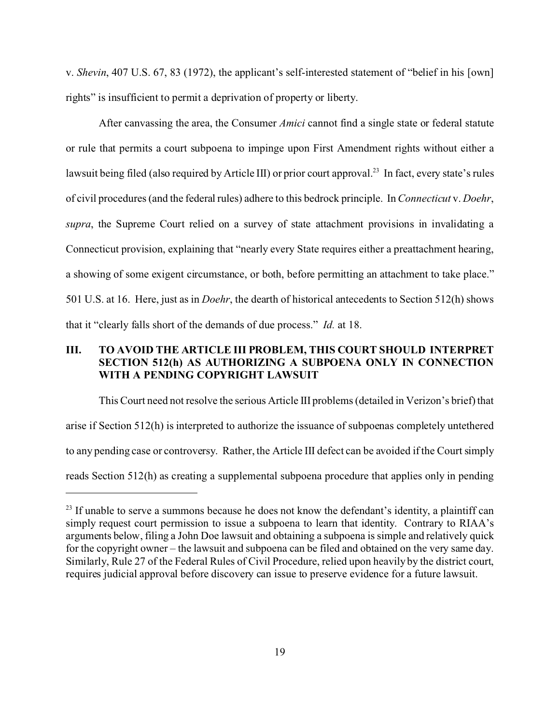v. *Shevin*, 407 U.S. 67, 83 (1972), the applicant's self-interested statement of "belief in his [own] rights" is insufficient to permit a deprivation of property or liberty.

After canvassing the area, the Consumer *Amici* cannot find a single state or federal statute or rule that permits a court subpoena to impinge upon First Amendment rights without either a lawsuit being filed (also required by Article III) or prior court approval.<sup>23</sup> In fact, every state's rules of civil procedures (and the federal rules) adhere to this bedrock principle. In *Connecticut* v. *Doehr*, *supra*, the Supreme Court relied on a survey of state attachment provisions in invalidating a Connecticut provision, explaining that "nearly every State requires either a preattachment hearing, a showing of some exigent circumstance, or both, before permitting an attachment to take place." 501 U.S. at 16. Here, just as in *Doehr*, the dearth of historical antecedents to Section 512(h) shows that it "clearly falls short of the demands of due process." *Id.* at 18.

## **III. TO AVOID THE ARTICLE III PROBLEM, THIS COURT SHOULD INTERPRET SECTION 512(h) AS AUTHORIZING A SUBPOENA ONLY IN CONNECTION WITH A PENDING COPYRIGHT LAWSUIT**

This Court need not resolve the serious Article III problems (detailed in Verizon's brief) that arise if Section 512(h) is interpreted to authorize the issuance of subpoenas completely untethered to any pending case or controversy. Rather, the Article III defect can be avoided if the Court simply reads Section 512(h) as creating a supplemental subpoena procedure that applies only in pending

<sup>&</sup>lt;sup>23</sup> If unable to serve a summons because he does not know the defendant's identity, a plaintiff can simply request court permission to issue a subpoena to learn that identity. Contrary to RIAA's arguments below, filing a John Doe lawsuit and obtaining a subpoena is simple and relatively quick for the copyright owner – the lawsuit and subpoena can be filed and obtained on the very same day. Similarly, Rule 27 of the Federal Rules of Civil Procedure, relied upon heavily by the district court, requires judicial approval before discovery can issue to preserve evidence for a future lawsuit.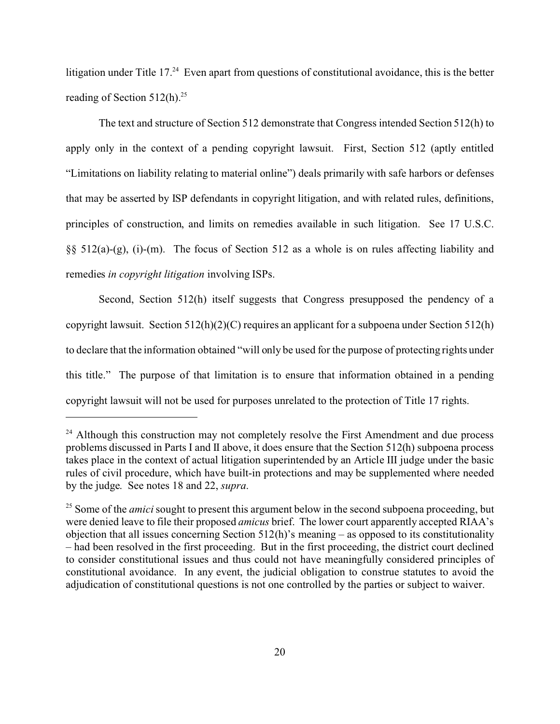litigation under Title  $17<sup>24</sup>$  Even apart from questions of constitutional avoidance, this is the better reading of Section  $512(h).^{25}$ 

The text and structure of Section 512 demonstrate that Congress intended Section 512(h) to apply only in the context of a pending copyright lawsuit. First, Section 512 (aptly entitled "Limitations on liability relating to material online") deals primarily with safe harbors or defenses that may be asserted by ISP defendants in copyright litigation, and with related rules, definitions, principles of construction, and limits on remedies available in such litigation. See 17 U.S.C. §§ 512(a)-(g), (i)-(m). The focus of Section 512 as a whole is on rules affecting liability and remedies *in copyright litigation* involving ISPs.

Second, Section 512(h) itself suggests that Congress presupposed the pendency of a copyright lawsuit. Section 512(h)(2)(C) requires an applicant for a subpoena under Section 512(h) to declare that the information obtained "will only be used for the purpose of protecting rights under this title." The purpose of that limitation is to ensure that information obtained in a pending copyright lawsuit will not be used for purposes unrelated to the protection of Title 17 rights.

<sup>&</sup>lt;sup>24</sup> Although this construction may not completely resolve the First Amendment and due process problems discussed in Parts I and II above, it does ensure that the Section 512(h) subpoena process takes place in the context of actual litigation superintended by an Article III judge under the basic rules of civil procedure, which have built-in protections and may be supplemented where needed by the judge. See notes 18 and 22, *supra*.

<sup>&</sup>lt;sup>25</sup> Some of the *amici* sought to present this argument below in the second subpoena proceeding, but were denied leave to file their proposed *amicus* brief. The lower court apparently accepted RIAA's objection that all issues concerning Section 512(h)'s meaning – as opposed to its constitutionality – had been resolved in the first proceeding. But in the first proceeding, the district court declined to consider constitutional issues and thus could not have meaningfully considered principles of constitutional avoidance. In any event, the judicial obligation to construe statutes to avoid the adjudication of constitutional questions is not one controlled by the parties or subject to waiver.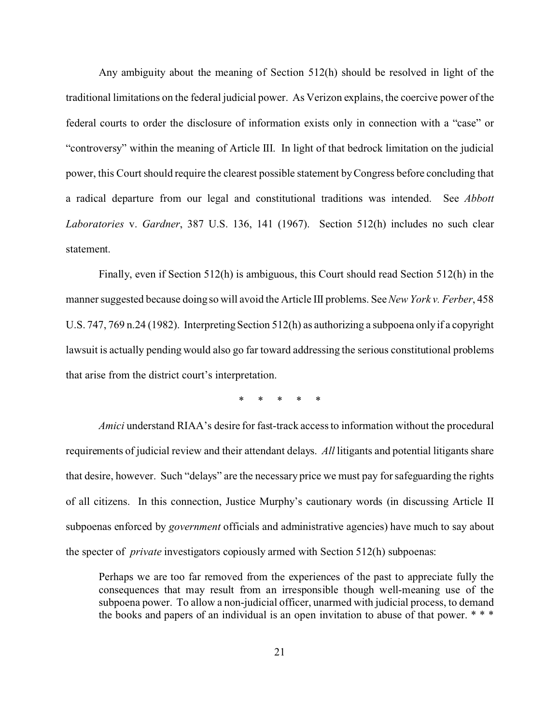Any ambiguity about the meaning of Section 512(h) should be resolved in light of the traditional limitations on the federal judicial power. As Verizon explains, the coercive power of the federal courts to order the disclosure of information exists only in connection with a "case" or "controversy" within the meaning of Article III. In light of that bedrock limitation on the judicial power, this Court should require the clearest possible statement by Congress before concluding that a radical departure from our legal and constitutional traditions was intended. See *Abbott Laboratories* v. *Gardner*, 387 U.S. 136, 141 (1967). Section 512(h) includes no such clear statement.

Finally, even if Section 512(h) is ambiguous, this Court should read Section 512(h) in the manner suggested because doing so will avoid the Article III problems. See *New York v. Ferber*, 458 U.S. 747, 769 n.24 (1982). Interpreting Section 512(h) as authorizing a subpoena only if a copyright lawsuit is actually pending would also go far toward addressing the serious constitutional problems that arise from the district court's interpretation.

\* \* \* \* \*

*Amici* understand RIAA's desire for fast-track access to information without the procedural requirements of judicial review and their attendant delays. *All* litigants and potential litigants share that desire, however. Such "delays" are the necessary price we must pay for safeguarding the rights of all citizens. In this connection, Justice Murphy's cautionary words (in discussing Article II subpoenas enforced by *government* officials and administrative agencies) have much to say about the specter of *private* investigators copiously armed with Section 512(h) subpoenas:

Perhaps we are too far removed from the experiences of the past to appreciate fully the consequences that may result from an irresponsible though well-meaning use of the subpoena power. To allow a non-judicial officer, unarmed with judicial process, to demand the books and papers of an individual is an open invitation to abuse of that power. \* \* \*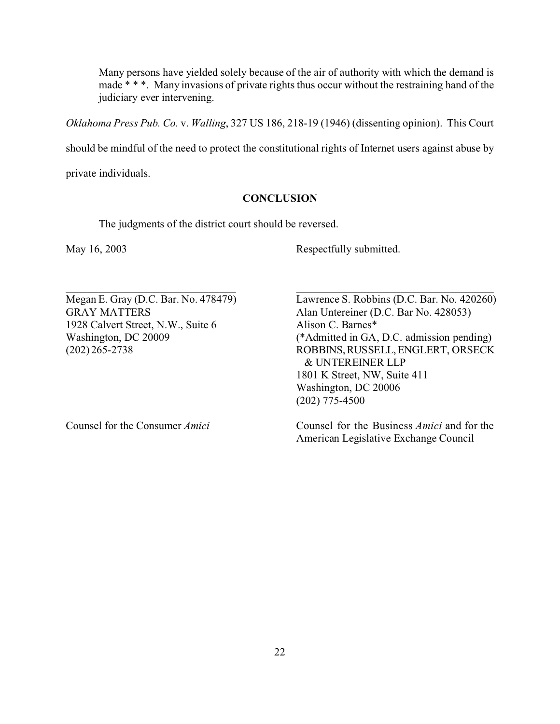Many persons have yielded solely because of the air of authority with which the demand is made \* \* \*. Many invasions of private rights thus occur without the restraining hand of the judiciary ever intervening.

*Oklahoma Press Pub. Co.* v. *Walling*, 327 US 186, 218-19 (1946) (dissenting opinion). This Court

should be mindful of the need to protect the constitutional rights of Internet users against abuse by

private individuals.

### **CONCLUSION**

 $\_$ 

The judgments of the district court should be reversed.

May 16, 2003 Respectfully submitted.

1928 Calvert Street, N.W., Suite 6 Alison C. Barnes\*

Megan E. Gray (D.C. Bar. No. 478479) Lawrence S. Robbins (D.C. Bar. No. 420260) GRAY MATTERS Alan Untereiner (D.C. Bar No. 428053) Washington, DC 20009 (\*Admitted in GA, D.C. admission pending) (202) 265-2738 ROBBINS,RUSSELL,ENGLERT, ORSECK & UNTEREINER LLP 1801 K Street, NW, Suite 411 Washington, DC 20006 (202) 775-4500

Counsel for the Consumer *Amici* Counsel for the Business *Amici* and for the American Legislative Exchange Council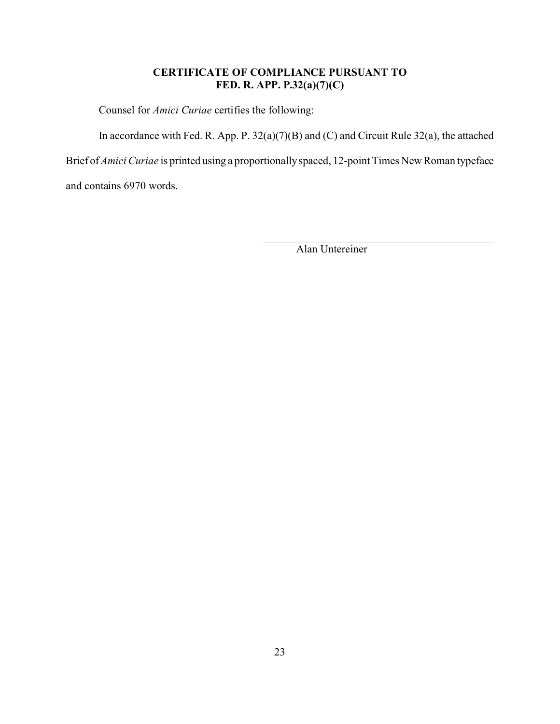## **CERTIFICATE OF COMPLIANCE PURSUANT TO FED. R. APP. P.32(a)(7)(C)**

Counsel for *Amici Curiae* certifies the following:

In accordance with Fed. R. App. P. 32(a)(7)(B) and (C) and Circuit Rule 32(a), the attached

Brief of *Amici Curiae* is printed using a proportionally spaced, 12-point Times New Roman typeface

and contains 6970 words.

Alan Untereiner

\_\_\_\_\_\_\_\_\_\_\_\_\_\_\_\_\_\_\_\_\_\_\_\_\_\_\_\_\_\_\_\_\_\_\_\_\_\_\_\_\_\_\_